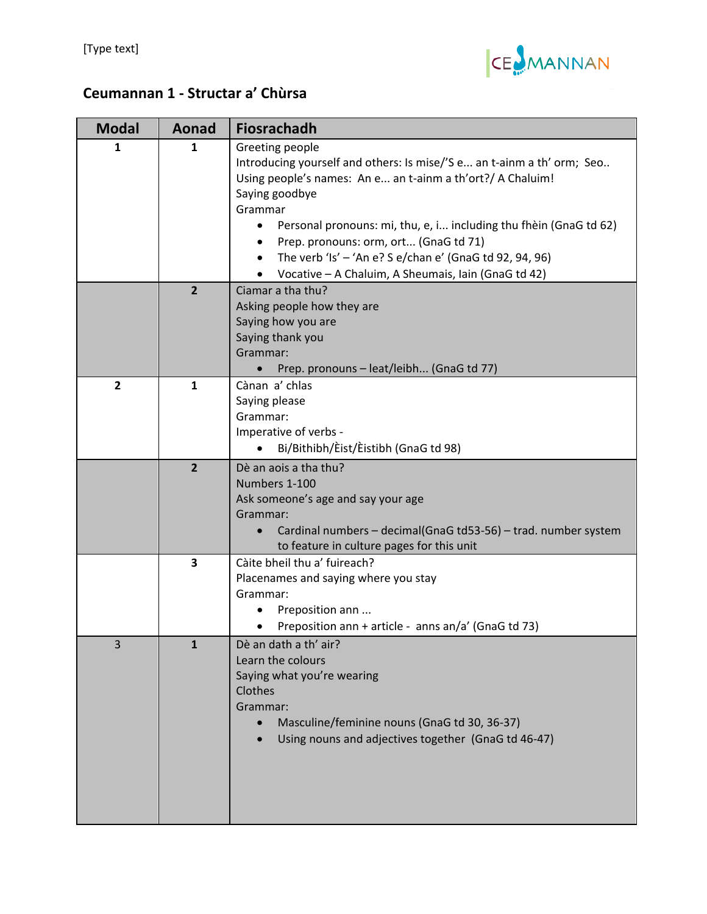

## **Ceumannan 1 ‐ Structar a' Chùrsa**

| <b>Modal</b>   | Aonad          | <b>Fiosrachadh</b>                                                                                                                                                                                                                                                                                                                                                                                                                |
|----------------|----------------|-----------------------------------------------------------------------------------------------------------------------------------------------------------------------------------------------------------------------------------------------------------------------------------------------------------------------------------------------------------------------------------------------------------------------------------|
| 1              | 1              | Greeting people<br>Introducing yourself and others: Is mise/'S e an t-ainm a th' orm; Seo<br>Using people's names: An e an t-ainm a th'ort?/ A Chaluim!<br>Saying goodbye<br>Grammar<br>Personal pronouns: mi, thu, e, i including thu fhèin (GnaG td 62)<br>$\bullet$<br>Prep. pronouns: orm, ort (GnaG td 71)<br>The verb 'Is' - 'An e? S e/chan e' (GnaG td 92, 94, 96)<br>Vocative - A Chaluim, A Sheumais, Iain (GnaG td 42) |
|                | $\overline{2}$ | Ciamar a tha thu?<br>Asking people how they are<br>Saying how you are<br>Saying thank you<br>Grammar:<br>Prep. pronouns - leat/leibh (GnaG td 77)                                                                                                                                                                                                                                                                                 |
| $\overline{2}$ | $\mathbf{1}$   | Cànan a' chlas<br>Saying please<br>Grammar:<br>Imperative of verbs -<br>Bi/Bithibh/Eist/Eistibh (GnaG td 98)                                                                                                                                                                                                                                                                                                                      |
|                | $\overline{2}$ | Dè an aois a tha thu?<br>Numbers 1-100<br>Ask someone's age and say your age<br>Grammar:<br>Cardinal numbers - decimal(GnaG td53-56) - trad. number system<br>$\bullet$<br>to feature in culture pages for this unit                                                                                                                                                                                                              |
|                | 3              | Càite bheil thu a' fuireach?<br>Placenames and saying where you stay<br>Grammar:<br>Preposition ann<br>Preposition ann + article - anns an/a' (GnaG td 73)                                                                                                                                                                                                                                                                        |
| $\mathbf{3}$   | $\mathbf{1}$   | Dè an dath a th' air?<br>Learn the colours<br>Saying what you're wearing<br>Clothes<br>Grammar:<br>Masculine/feminine nouns (GnaG td 30, 36-37)<br>$\bullet$<br>Using nouns and adjectives together (GnaG td 46-47)                                                                                                                                                                                                               |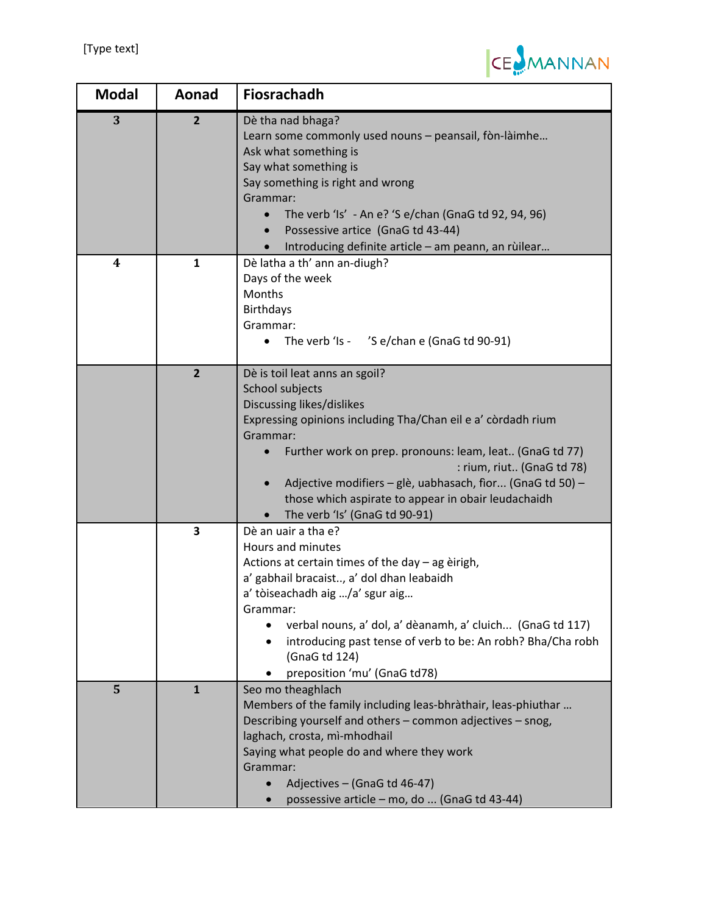

| <b>Modal</b> | Aonad                   | <b>Fiosrachadh</b>                                                                                                                                                                                                                                                                                                                                                                                                   |
|--------------|-------------------------|----------------------------------------------------------------------------------------------------------------------------------------------------------------------------------------------------------------------------------------------------------------------------------------------------------------------------------------------------------------------------------------------------------------------|
| 3            | $\overline{2}$          | Dè tha nad bhaga?<br>Learn some commonly used nouns - peansail, fòn-làimhe<br>Ask what something is<br>Say what something is<br>Say something is right and wrong<br>Grammar:<br>The verb 'Is' - An e? 'S e/chan (GnaG td 92, 94, 96)<br>Possessive artice (GnaG td 43-44)<br>Introducing definite article - am peann, an rùilear                                                                                     |
| 4            | $\mathbf{1}$            | Dè latha a th' ann an-diugh?<br>Days of the week<br>Months<br><b>Birthdays</b><br>Grammar:<br>The verb 'Is - 'S e/chan e (GnaG td 90-91)                                                                                                                                                                                                                                                                             |
|              | $\overline{2}$          | Dè is toil leat anns an sgoil?<br>School subjects<br>Discussing likes/dislikes<br>Expressing opinions including Tha/Chan eil e a' còrdadh rium<br>Grammar:<br>Further work on prep. pronouns: leam, leat (GnaG td 77)<br>: rium, riut (GnaG td 78)<br>Adjective modifiers - glè, uabhasach, fìor (GnaG td 50) -<br>$\bullet$<br>those which aspirate to appear in obair leudachaidh<br>The verb 'Is' (GnaG td 90-91) |
|              | $\overline{\mathbf{3}}$ | Dè an uair a tha e?<br>Hours and minutes<br>Actions at certain times of the day - ag èirigh,<br>a' gabhail bracaist, a' dol dhan leabaidh<br>a' tòiseachadh aig /a' sgur aig<br>Grammar:<br>verbal nouns, a' dol, a' dèanamh, a' cluich (GnaG td 117)<br>introducing past tense of verb to be: An robh? Bha/Cha robh<br>(GnaG td 124)<br>preposition 'mu' (GnaG td78)                                                |
| 5            | $\mathbf{1}$            | Seo mo theaghlach<br>Members of the family including leas-bhràthair, leas-phiuthar<br>Describing yourself and others - common adjectives - snog,<br>laghach, crosta, mì-mhodhail<br>Saying what people do and where they work<br>Grammar:<br>Adjectives - (GnaG td 46-47)<br>possessive article - mo, do  (GnaG td 43-44)                                                                                            |